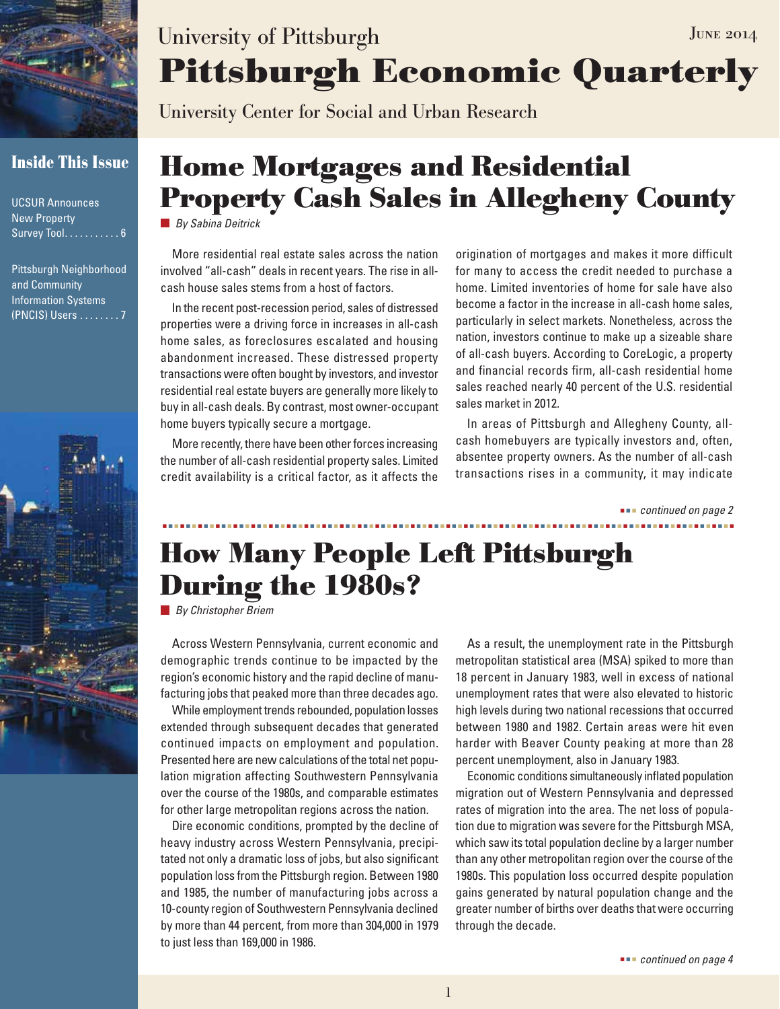

### **Inside This Issue**

UCSUR Announces New Property Survey Tool. . . . . . . . . . 6

Pittsburgh Neighborhood and Community Information Systems (PNCIS) Users . . . . . . . . 7



# **Pittsburgh Economic Quarterly** University of Pittsburgh JUNE 2014

University Center for Social and Urban Research

# **Home Mortgages and Residential Property Cash Sales in Allegheny County**

*By Sabina Deitrick*

More residential real estate sales across the nation involved "all-cash" deals in recent years. The rise in allcash house sales stems from a host of factors.

In the recent post-recession period, sales of distressed properties were a driving force in increases in all-cash home sales, as foreclosures escalated and housing abandonment increased. These distressed property transactions were often bought by investors, and investor residential real estate buyers are generally more likely to buy in all-cash deals. By contrast, most owner-occupant home buyers typically secure a mortgage.

More recently, there have been other forces increasing the number of all-cash residential property sales. Limited credit availability is a critical factor, as it affects the origination of mortgages and makes it more difficult for many to access the credit needed to purchase a home. Limited inventories of home for sale have also become a factor in the increase in all-cash home sales, particularly in select markets. Nonetheless, across the nation, investors continue to make up a sizeable share of all-cash buyers. According to CoreLogic, a property and financial records firm, all-cash residential home sales reached nearly 40 percent of the U.S. residential sales market in 2012.

In areas of Pittsburgh and Allegheny County, allcash homebuyers are typically investors and, often, absentee property owners. As the number of all-cash transactions rises in a community, it may indicate

 *continued on page 2*

## **How Many People Left Pittsburgh During the 1980s?**

*By Christopher Briem*

Across Western Pennsylvania, current economic and demographic trends continue to be impacted by the region's economic history and the rapid decline of manufacturing jobs that peaked more than three decades ago.

While employment trends rebounded, population losses extended through subsequent decades that generated continued impacts on employment and population. Presented here are new calculations of the total net population migration affecting Southwestern Pennsylvania over the course of the 1980s, and comparable estimates for other large metropolitan regions across the nation.

Dire economic conditions, prompted by the decline of heavy industry across Western Pennsylvania, precipitated not only a dramatic loss of jobs, but also significant population loss from the Pittsburgh region. Between 1980 and 1985, the number of manufacturing jobs across a 10-county region of Southwestern Pennsylvania declined by more than 44 percent, from more than 304,000 in 1979 to just less than 169,000 in 1986.

As a result, the unemployment rate in the Pittsburgh metropolitan statistical area (MSA) spiked to more than 18 percent in January 1983, well in excess of national unemployment rates that were also elevated to historic high levels during two national recessions that occurred between 1980 and 1982. Certain areas were hit even harder with Beaver County peaking at more than 28 percent unemployment, also in January 1983.

Economic conditions simultaneously inflated population migration out of Western Pennsylvania and depressed rates of migration into the area. The net loss of population due to migration was severe for the Pittsburgh MSA, which saw its total population decline by a larger number than any other metropolitan region over the course of the 1980s. This population loss occurred despite population gains generated by natural population change and the greater number of births over deaths that were occurring through the decade.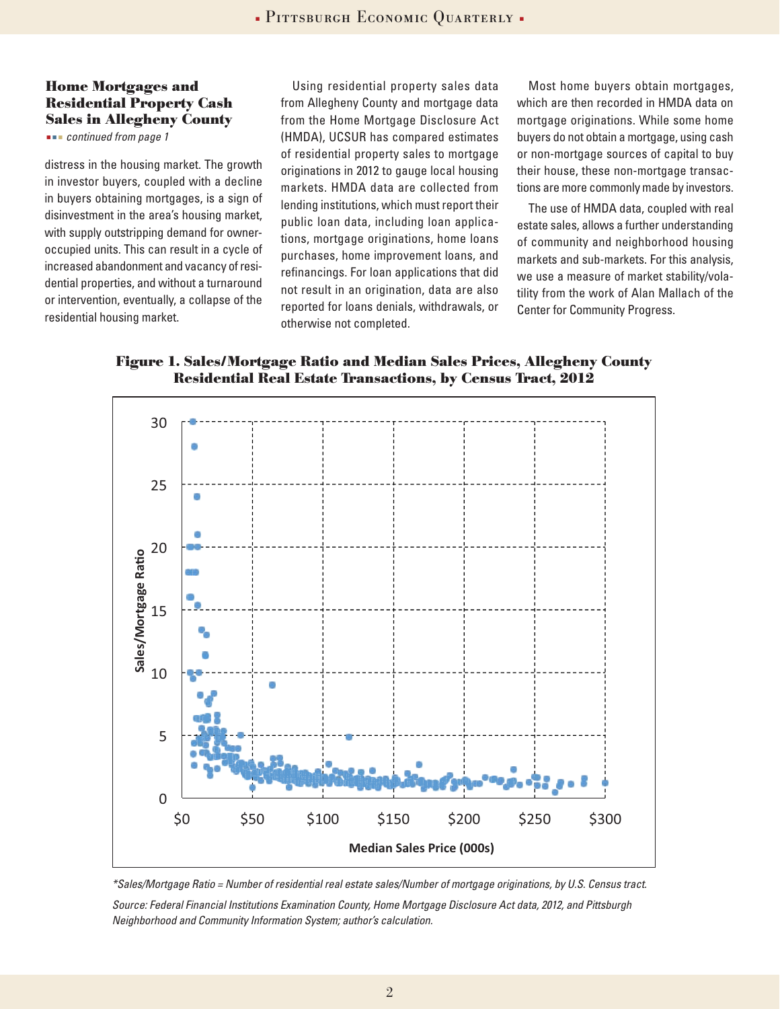#### **Home Mortgages and Residential Property Cash Sales in Allegheny County**

 *continued from page 1*

distress in the housing market. The growth in investor buyers, coupled with a decline in buyers obtaining mortgages, is a sign of disinvestment in the area's housing market, with supply outstripping demand for owneroccupied units. This can result in a cycle of increased abandonment and vacancy of residential properties, and without a turnaround or intervention, eventually, a collapse of the residential housing market.

Using residential property sales data from Allegheny County and mortgage data from the Home Mortgage Disclosure Act (HMDA), UCSUR has compared estimates of residential property sales to mortgage originations in 2012 to gauge local housing markets. HMDA data are collected from lending institutions, which must report their public loan data, including loan applications, mortgage originations, home loans purchases, home improvement loans, and refinancings. For loan applications that did not result in an origination, data are also reported for loans denials, withdrawals, or otherwise not completed.

Most home buyers obtain mortgages, which are then recorded in HMDA data on mortgage originations. While some home buyers do not obtain a mortgage, using cash or non-mortgage sources of capital to buy their house, these non-mortgage transactions are more commonly made by investors.

The use of HMDA data, coupled with real estate sales, allows a further understanding of community and neighborhood housing markets and sub-markets. For this analysis, we use a measure of market stability/volatility from the work of Alan Mallach of the Center for Community Progress.

**Figure 1. Sales/Mortgage Ratio and Median Sales Prices, Allegheny County Residential Real Estate Transactions, by Census Tract, 2012**





*Source: Federal Financial Institutions Examination County, Home Mortgage Disclosure Act data, 2012, and Pittsburgh Neighborhood and Community Information System; author's calculation.*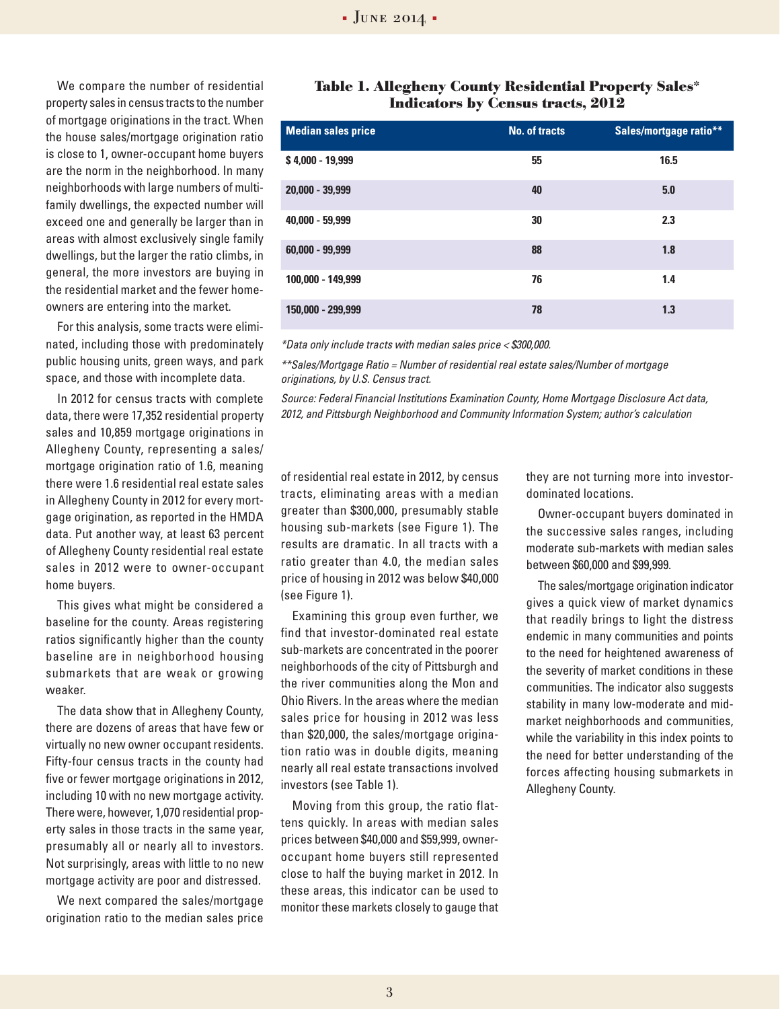We compare the number of residential property sales in census tracts to the number of mortgage originations in the tract. When the house sales/mortgage origination ratio is close to 1, owner-occupant home buyers are the norm in the neighborhood. In many neighborhoods with large numbers of multifamily dwellings, the expected number will exceed one and generally be larger than in areas with almost exclusively single family dwellings, but the larger the ratio climbs, in general, the more investors are buying in the residential market and the fewer homeowners are entering into the market.

For this analysis, some tracts were eliminated, including those with predominately public housing units, green ways, and park space, and those with incomplete data.

In 2012 for census tracts with complete data, there were 17,352 residential property sales and 10,859 mortgage originations in Allegheny County, representing a sales/ mortgage origination ratio of 1.6, meaning there were 1.6 residential real estate sales in Allegheny County in 2012 for every mortgage origination, as reported in the HMDA data. Put another way, at least 63 percent of Allegheny County residential real estate sales in 2012 were to owner-occupant home buyers.

This gives what might be considered a baseline for the county. Areas registering ratios significantly higher than the county baseline are in neighborhood housing submarkets that are weak or growing weaker.

The data show that in Allegheny County, there are dozens of areas that have few or virtually no new owner occupant residents. Fifty-four census tracts in the county had five or fewer mortgage originations in 2012, including 10 with no new mortgage activity. There were, however, 1,070 residential property sales in those tracts in the same year, presumably all or nearly all to investors. Not surprisingly, areas with little to no new mortgage activity are poor and distressed.

We next compared the sales/mortgage origination ratio to the median sales price

#### **Table 1. Allegheny County Residential Property Sales\* Indicators by Census tracts, 2012**

| <b>Median sales price</b> | <b>No. of tracts</b> | Sales/mortgage ratio** |
|---------------------------|----------------------|------------------------|
| \$4,000 - 19,999          | 55                   | 16.5                   |
| 20,000 - 39,999           | 40                   | 5.0                    |
| 40,000 - 59,999           | 30                   | 2.3                    |
| $60,000 - 99,999$         | 88                   | 1.8                    |
| 100.000 - 149.999         | 76                   | 1.4                    |
| 150,000 - 299,999         | 78                   | 1.3                    |

*\*Data only include tracts with median sales price < \$300,000.*

*\*\*Sales/Mortgage Ratio = Number of residential real estate sales/Number of mortgage originations, by U.S. Census tract.*

*Source: Federal Financial Institutions Examination County, Home Mortgage Disclosure Act data, 2012, and Pittsburgh Neighborhood and Community Information System; author's calculation*

of residential real estate in 2012, by census tracts, eliminating areas with a median greater than \$300,000, presumably stable housing sub-markets (see Figure 1). The results are dramatic. In all tracts with a ratio greater than 4.0, the median sales price of housing in 2012 was below \$40,000 (see Figure 1).

Examining this group even further, we find that investor-dominated real estate sub-markets are concentrated in the poorer neighborhoods of the city of Pittsburgh and the river communities along the Mon and Ohio Rivers. In the areas where the median sales price for housing in 2012 was less than \$20,000, the sales/mortgage origination ratio was in double digits, meaning nearly all real estate transactions involved investors (see Table 1).

Moving from this group, the ratio flattens quickly. In areas with median sales prices between \$40,000 and \$59,999, owneroccupant home buyers still represented close to half the buying market in 2012. In these areas, this indicator can be used to monitor these markets closely to gauge that they are not turning more into investordominated locations.

Owner-occupant buyers dominated in the successive sales ranges, including moderate sub-markets with median sales between \$60,000 and \$99,999.

The sales/mortgage origination indicator gives a quick view of market dynamics that readily brings to light the distress endemic in many communities and points to the need for heightened awareness of the severity of market conditions in these communities. The indicator also suggests stability in many low-moderate and midmarket neighborhoods and communities, while the variability in this index points to the need for better understanding of the forces affecting housing submarkets in Allegheny County.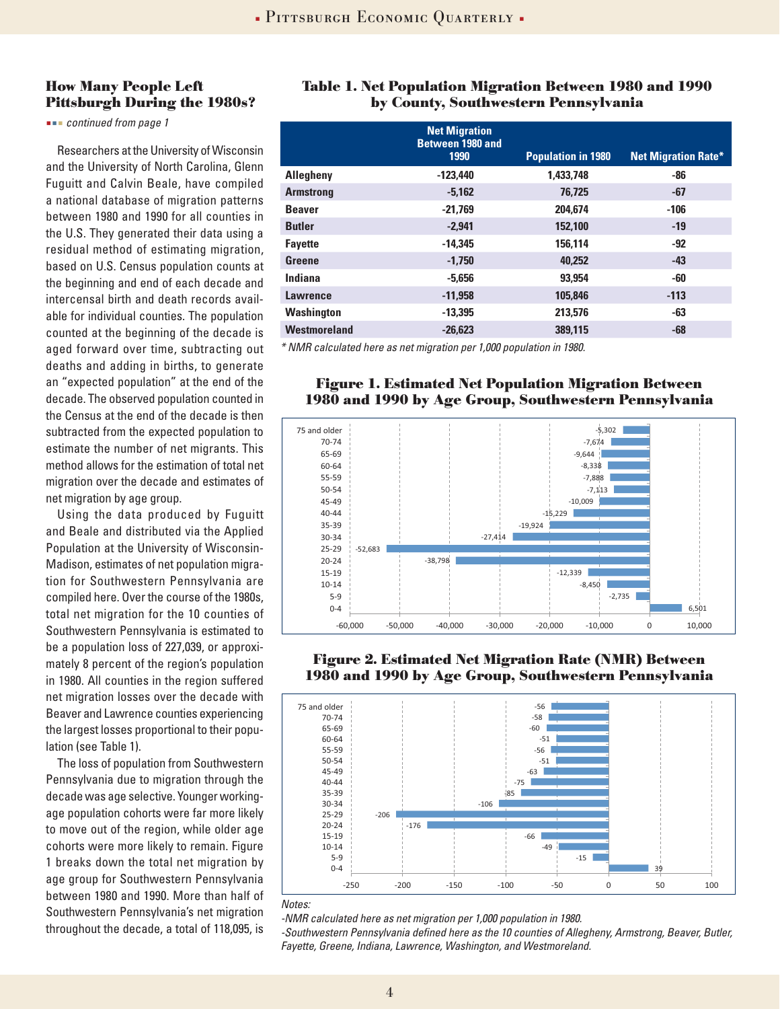#### **How Many People Left Pittsburgh During the 1980s?**

 *continued from page 1*

Researchers at the University of Wisconsin and the University of North Carolina, Glenn Fuguitt and Calvin Beale, have compiled a national database of migration patterns between 1980 and 1990 for all counties in the U.S. They generated their data using a residual method of estimating migration, based on U.S. Census population counts at the beginning and end of each decade and intercensal birth and death records available for individual counties. The population counted at the beginning of the decade is aged forward over time, subtracting out deaths and adding in births, to generate an "expected population" at the end of the decade. The observed population counted in the Census at the end of the decade is then subtracted from the expected population to estimate the number of net migrants. This method allows for the estimation of total net migration over the decade and estimates of net migration by age group.

Using the data produced by Fuguitt and Beale and distributed via the Applied Population at the University of Wisconsin-Madison, estimates of net population migration for Southwestern Pennsylvania are compiled here. Over the course of the 1980s, total net migration for the 10 counties of Southwestern Pennsylvania is estimated to be a population loss of 227,039, or approximately 8 percent of the region's population in 1980. All counties in the region suffered net migration losses over the decade with Beaver and Lawrence counties experiencing the largest losses proportional to their population (see Table 1).

The loss of population from Southwestern Pennsylvania due to migration through the decade was age selective. Younger workingage population cohorts were far more likely to move out of the region, while older age cohorts were more likely to remain. Figure 1 breaks down the total net migration by age group for Southwestern Pennsylvania between 1980 and 1990. More than half of Southwestern Pennsylvania's net migration throughout the decade, a total of 118,095, is

### **Table 1. Net Population Migration Between 1980 and 1990 by County, Southwestern Pennsylvania**

|                                                              | <b>Net Migration</b><br>Between 1980 and<br>1990 | <b>Population in 1980</b> | <b>Net Migration Rate*</b> |  |
|--------------------------------------------------------------|--------------------------------------------------|---------------------------|----------------------------|--|
| <b>Allegheny</b>                                             | $-123.440$                                       | 1.433.748                 | -86                        |  |
| <b>Armstrong</b>                                             | $-5,162$                                         | 76.725                    | -67                        |  |
| <b>Beaver</b>                                                | $-21.769$                                        | 204.674                   | $-106$                     |  |
| <b>Butler</b>                                                | $-2,941$                                         | 152,100                   | $-19$                      |  |
| <b>Fayette</b>                                               | $-14,345$                                        | 156.114                   | $-92$                      |  |
| Greene                                                       | $-1,750$                                         | 40,252                    | $-43$                      |  |
| Indiana                                                      | $-5.656$                                         | 93,954                    | -60                        |  |
| <b>Lawrence</b>                                              | $-11.958$                                        | 105.846                   | $-113$                     |  |
| Washington                                                   | $-13.395$                                        | 213.576                   | $-63$                      |  |
| Westmoreland                                                 | $-26.623$                                        | 389.115                   | -68                        |  |
| $*$ MMD asked these construction non 1,000 nondetime in 1000 |                                                  |                           |                            |  |

*\* NMR calculated here as net migration per 1,000 population in 1980.*

#### **Figure 1. Estimated Net Population Migration Between 1980 and 1990 by Age Group, Southwestern Pennsylvania**



#### **Figure 2. Estimated Net Migration Rate (NMR) Between 1980 and 1990 by Age Group, Southwestern Pennsylvania**



#### *Notes:*

*-NMR calculated here as net migration per 1,000 population in 1980.*

*-Southwestern Pennsylvania defined here as the 10 counties of Allegheny, Armstrong, Beaver, Butler, Fayette, Greene, Indiana, Lawrence, Washington, and Westmoreland.*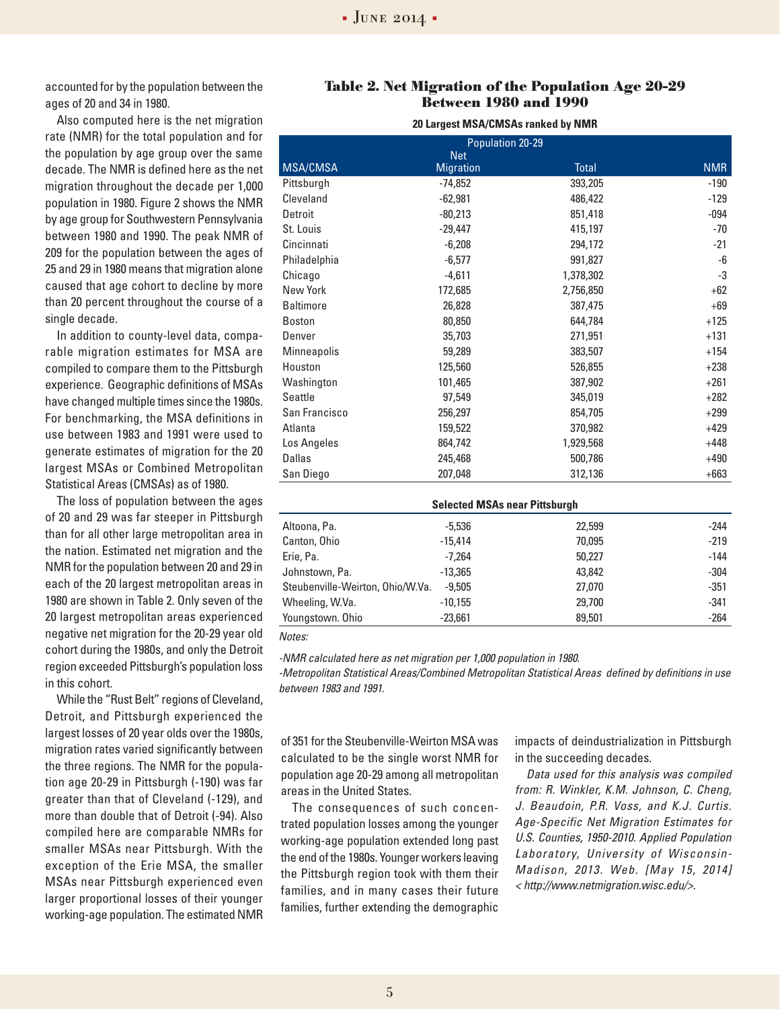accounted for by the population between the ages of 20 and 34 in 1980.

Also computed here is the net migration rate (NMR) for the total population and for the population by age group over the same decade. The NMR is defined here as the net migration throughout the decade per 1,000 population in 1980. Figure 2 shows the NMR by age group for Southwestern Pennsylvania between 1980 and 1990. The peak NMR of 209 for the population between the ages of 25 and 29 in 1980 means that migration alone caused that age cohort to decline by more than 20 percent throughout the course of a single decade.

In addition to county-level data, comparable migration estimates for MSA are compiled to compare them to the Pittsburgh experience. Geographic definitions of MSAs have changed multiple times since the 1980s. For benchmarking, the MSA definitions in use between 1983 and 1991 were used to generate estimates of migration for the 20 largest MSAs or Combined Metropolitan Statistical Areas (CMSAs) as of 1980.

The loss of population between the ages of 20 and 29 was far steeper in Pittsburgh than for all other large metropolitan area in the nation. Estimated net migration and the NMR for the population between 20 and 29 in each of the 20 largest metropolitan areas in 1980 are shown in Table 2. Only seven of the 20 largest metropolitan areas experienced negative net migration for the 20-29 year old cohort during the 1980s, and only the Detroit region exceeded Pittsburgh's population loss in this cohort.

While the "Rust Belt" regions of Cleveland, Detroit, and Pittsburgh experienced the largest losses of 20 year olds over the 1980s, migration rates varied significantly between the three regions. The NMR for the population age 20-29 in Pittsburgh (-190) was far greater than that of Cleveland (-129), and more than double that of Detroit (-94). Also compiled here are comparable NMRs for smaller MSAs near Pittsburgh. With the exception of the Erie MSA, the smaller MSAs near Pittsburgh experienced even larger proportional losses of their younger working-age population. The estimated NMR

#### **Table 2. Net Migration of the Population Age 20-29 Between 1980 and 1990**

| Population 20-29 |                  |              |            |  |  |
|------------------|------------------|--------------|------------|--|--|
|                  | <b>Net</b>       |              |            |  |  |
| <b>MSA/CMSA</b>  | <b>Migration</b> | <b>Total</b> | <b>NMR</b> |  |  |
| Pittsburgh       | $-74,852$        | 393,205      | $-190$     |  |  |
| Cleveland        | $-62,981$        | 486,422      | $-129$     |  |  |
| Detroit          | $-80,213$        | 851,418      | $-094$     |  |  |
| St. Louis        | $-29,447$        | 415,197      | $-70$      |  |  |
| Cincinnati       | $-6,208$         | 294,172      | $-21$      |  |  |
| Philadelphia     | $-6,577$         | 991,827      | -6         |  |  |
| Chicago          | $-4,611$         | 1,378,302    | -3         |  |  |
| New York         | 172,685          | 2,756,850    | $+62$      |  |  |
| <b>Baltimore</b> | 26,828           | 387,475      | $+69$      |  |  |
| <b>Boston</b>    | 80,850           | 644,784      | $+125$     |  |  |
| Denver           | 35,703           | 271,951      | $+131$     |  |  |
| Minneapolis      | 59,289           | 383,507      | $+154$     |  |  |
| Houston          | 125,560          | 526,855      | $+238$     |  |  |
| Washington       | 101,465          | 387,902      | $+261$     |  |  |
| Seattle          | 97,549           | 345,019      | $+282$     |  |  |
| San Francisco    | 256,297          | 854,705      | $+299$     |  |  |
| Atlanta          | 159,522          | 370,982      | $+429$     |  |  |
| Los Angeles      | 864,742          | 1,929,568    | $+448$     |  |  |
| Dallas           | 245,468          | 500,786      | $+490$     |  |  |
| San Diego        | 207,048          | 312,136      | $+663$     |  |  |

| <b>Selected MSAs near Pittsburgh</b> |           |        |        |  |  |
|--------------------------------------|-----------|--------|--------|--|--|
| Altoona, Pa.                         | $-5.536$  | 22,599 | $-244$ |  |  |
| Canton, Ohio                         | $-15.414$ | 70,095 | $-219$ |  |  |
| Erie, Pa.                            | $-7.264$  | 50.227 | $-144$ |  |  |
| Johnstown, Pa.                       | $-13.365$ | 43,842 | $-304$ |  |  |
| Steubenville-Weirton, Ohio/W.Va.     | $-9.505$  | 27,070 | $-351$ |  |  |
| Wheeling, W.Va.                      | $-10.155$ | 29,700 | $-341$ |  |  |
| Youngstown. Ohio                     | $-23,661$ | 89,501 | $-264$ |  |  |

*Notes:* 

*-NMR calculated here as net migration per 1,000 population in 1980.*

*-Metropolitan Statistical Areas/Combined Metropolitan Statistical Areas defined by definitions in use between 1983 and 1991.* 

of 351 for the Steubenville-Weirton MSA was calculated to be the single worst NMR for population age 20-29 among all metropolitan areas in the United States.

The consequences of such concentrated population losses among the younger working-age population extended long past the end of the 1980s. Younger workers leaving the Pittsburgh region took with them their families, and in many cases their future families, further extending the demographic

impacts of deindustrialization in Pittsburgh in the succeeding decades.

*Data used for this analysis was compiled from: R. Winkler, K.M. Johnson, C. Cheng, J. Beaudoin, P.R. Voss, and K.J. Curtis. Age-Specific Net Migration Estimates for U.S. Counties, 1950-2010. Applied Population Laboratory, University of Wisconsin-Madison, 2013. Web. [May 15, 2014] < http://www.netmigration.wisc.edu/>.*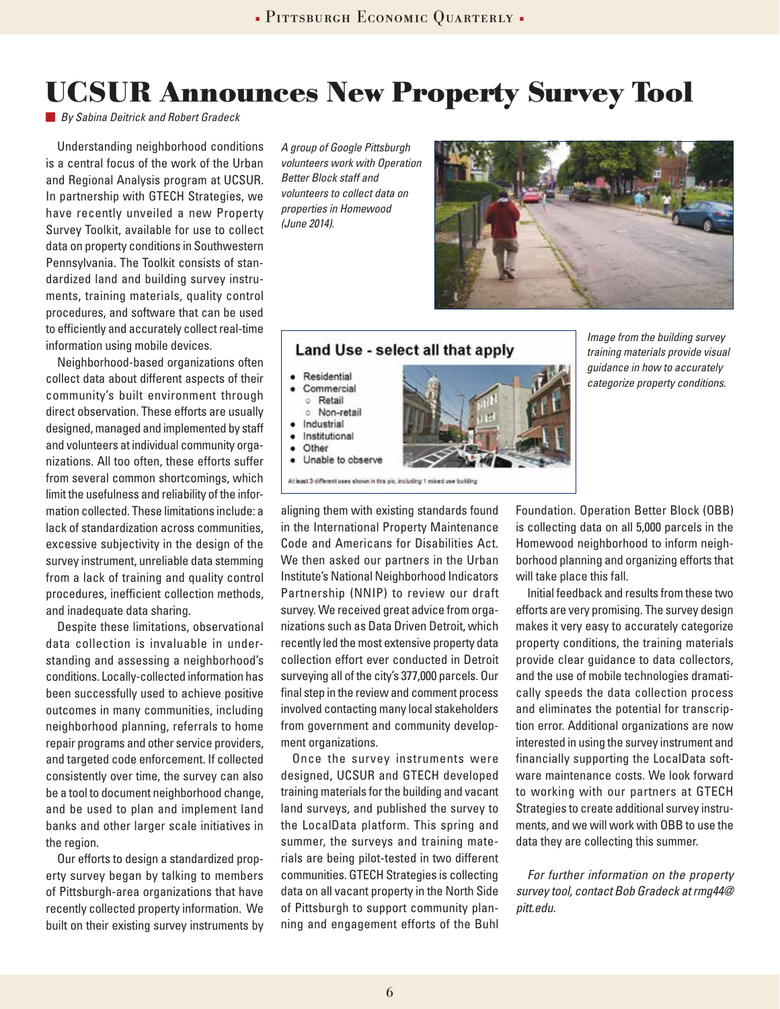### **UCSUR Announces New Property Survey Tool**

*By Sabina Deitrick and Robert Gradeck*

Understanding neighborhood conditions is a central focus of the work of the Urban and Regional Analysis program at UCSUR. In partnership with GTECH Strategies, we have recently unveiled a new Property Survey Toolkit, available for use to collect data on property conditions in Southwestern Pennsylvania. The Toolkit consists of standardized land and building survey instruments, training materials, quality control procedures, and software that can be used to efficiently and accurately collect real-time information using mobile devices.

Neighborhood-based organizations often collect data about different aspects of their community's built environment through direct observation. These efforts are usually designed, managed and implemented by staff and volunteers at individual community organizations. All too often, these efforts suffer from several common shortcomings, which limit the usefulness and reliability of the information collected. These limitations include: a lack of standardization across communities, excessive subjectivity in the design of the survey instrument, unreliable data stemming from a lack of training and quality control procedures, inefficient collection methods, and inadequate data sharing.

Despite these limitations, observational data collection is invaluable in understanding and assessing a neighborhood's conditions. Locally-collected information has been successfully used to achieve positive outcomes in many communities, including neighborhood planning, referrals to home repair programs and other service providers, and targeted code enforcement. If collected consistently over time, the survey can also be a tool to document neighborhood change, and be used to plan and implement land banks and other larger scale initiatives in the region.

Our efforts to design a standardized property survey began by talking to members of Pittsburgh-area organizations that have recently collected property information. We built on their existing survey instruments by *A group of Google Pittsburgh volunteers work with Operation Better Block staff and volunteers to collect data on properties in Homewood (June 2014).* 

· Residential Commercial **C** Retail Mon-retail Industrial Institutional Other



#### Land Use - select all that apply



*Image from the building survey training materials provide visual guidance in how to accurately categorize property conditions.*

aligning them with existing standards found in the International Property Maintenance Code and Americans for Disabilities Act. We then asked our partners in the Urban Institute's National Neighborhood Indicators Partnership (NNIP) to review our draft survey. We received great advice from organizations such as Data Driven Detroit, which recently led the most extensive property data collection effort ever conducted in Detroit surveying all of the city's 377,000 parcels. Our final step in the review and comment process involved contacting many local stakeholders from government and community development organizations.

Once the survey instruments were designed, UCSUR and GTECH developed training materials for the building and vacant land surveys, and published the survey to the LocalData platform. This spring and summer, the surveys and training materials are being pilot-tested in two different communities. GTECH Strategies is collecting data on all vacant property in the North Side of Pittsburgh to support community planning and engagement efforts of the Buhl

Foundation. Operation Better Block (OBB) is collecting data on all 5,000 parcels in the Homewood neighborhood to inform neighborhood planning and organizing efforts that will take place this fall.

Initial feedback and results from these two efforts are very promising. The survey design makes it very easy to accurately categorize property conditions, the training materials provide clear guidance to data collectors, and the use of mobile technologies dramatically speeds the data collection process and eliminates the potential for transcription error. Additional organizations are now interested in using the survey instrument and financially supporting the LocalData software maintenance costs. We look forward to working with our partners at GTECH Strategies to create additional survey instruments, and we will work with OBB to use the data they are collecting this summer.

*For further information on the property survey tool, contact Bob Gradeck at rmg44@ pitt.edu.*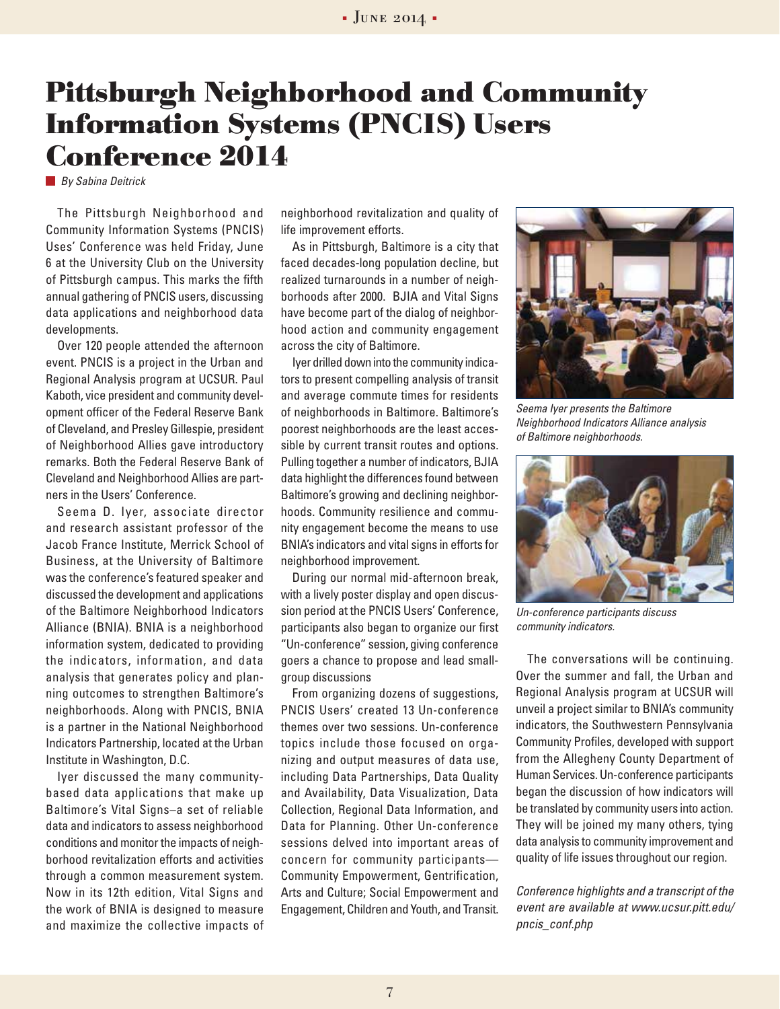## **Pittsburgh Neighborhood and Community Information Systems (PNCIS) Users Conference 2014**

*By Sabina Deitrick*

The Pittsburgh Neighborhood and Community Information Systems (PNCIS) Uses' Conference was held Friday, June 6 at the University Club on the University of Pittsburgh campus. This marks the fifth annual gathering of PNCIS users, discussing data applications and neighborhood data developments.

Over 120 people attended the afternoon event. PNCIS is a project in the Urban and Regional Analysis program at UCSUR. Paul Kaboth, vice president and community development officer of the Federal Reserve Bank of Cleveland, and Presley Gillespie, president of Neighborhood Allies gave introductory remarks. Both the Federal Reserve Bank of Cleveland and Neighborhood Allies are partners in the Users' Conference.

Seema D. Iyer, associate director and research assistant professor of the Jacob France Institute, Merrick School of Business, at the University of Baltimore was the conference's featured speaker and discussed the development and applications of the Baltimore Neighborhood Indicators Alliance (BNIA). BNIA is a neighborhood information system, dedicated to providing the indicators, information, and data analysis that generates policy and planning outcomes to strengthen Baltimore's neighborhoods. Along with PNCIS, BNIA is a partner in the National Neighborhood Indicators Partnership, located at the Urban Institute in Washington, D.C.

Iyer discussed the many communitybased data applications that make up Baltimore's Vital Signs–a set of reliable data and indicators to assess neighborhood conditions and monitor the impacts of neighborhood revitalization efforts and activities through a common measurement system. Now in its 12th edition, Vital Signs and the work of BNIA is designed to measure and maximize the collective impacts of neighborhood revitalization and quality of life improvement efforts.

As in Pittsburgh, Baltimore is a city that faced decades-long population decline, but realized turnarounds in a number of neighborhoods after 2000. BJIA and Vital Signs have become part of the dialog of neighborhood action and community engagement across the city of Baltimore.

Iyer drilled down into the community indicators to present compelling analysis of transit and average commute times for residents of neighborhoods in Baltimore. Baltimore's poorest neighborhoods are the least accessible by current transit routes and options. Pulling together a number of indicators, BJIA data highlight the differences found between Baltimore's growing and declining neighborhoods. Community resilience and community engagement become the means to use BNIA's indicators and vital signs in efforts for neighborhood improvement.

During our normal mid-afternoon break, with a lively poster display and open discussion period at the PNCIS Users' Conference, participants also began to organize our first "Un-conference" session, giving conference goers a chance to propose and lead smallgroup discussions

From organizing dozens of suggestions, PNCIS Users' created 13 Un-conference themes over two sessions. Un-conference topics include those focused on organizing and output measures of data use, including Data Partnerships, Data Quality and Availability, Data Visualization, Data Collection, Regional Data Information, and Data for Planning. Other Un-conference sessions delved into important areas of concern for community participants— Community Empowerment, Gentrification, Arts and Culture; Social Empowerment and Engagement, Children and Youth, and Transit.



*Seema Iyer presents the Baltimore Neighborhood Indicators Alliance analysis of Baltimore neighborhoods.*



*Un-conference participants discuss community indicators.* 

The conversations will be continuing. Over the summer and fall, the Urban and Regional Analysis program at UCSUR will unveil a project similar to BNIA's community indicators, the Southwestern Pennsylvania Community Profiles, developed with support from the Allegheny County Department of Human Services. Un-conference participants began the discussion of how indicators will be translated by community users into action. They will be joined my many others, tying data analysis to community improvement and quality of life issues throughout our region.

*Conference highlights and a transcript of the event are available at www.ucsur.pitt.edu/ pncis\_conf.php*